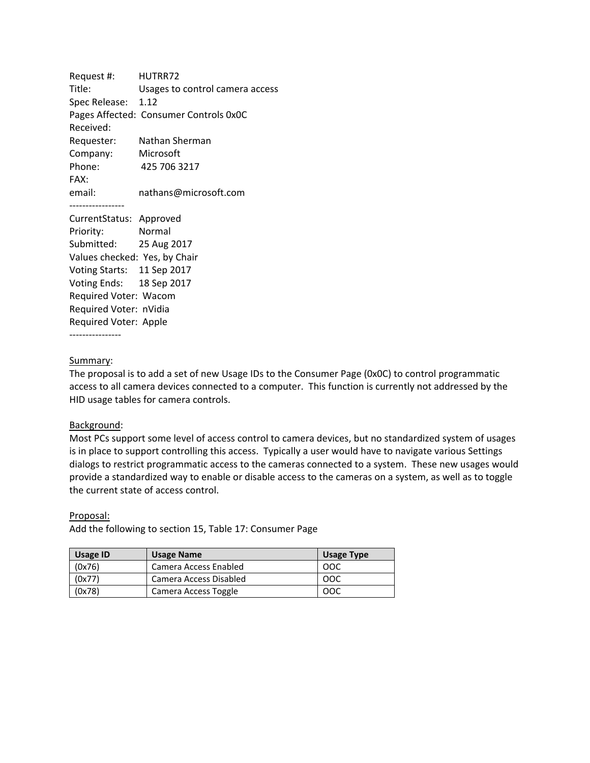Request #: HUTRR72 Title: Usages to control camera access Spec Release: 1.12 Pages Affected: Consumer Controls 0x0C Received: Requester: Nathan Sherman Company: Microsoft Phone: 425 706 3217 FAX: email: nathans@microsoft.com ----------------- CurrentStatus: Approved Priority: Normal Submitted: 25 Aug 2017 Values checked: Yes, by Chair Voting Starts: 11 Sep 2017 Voting Ends: 18 Sep 2017

Required Voter: Apple ----------------

Required Voter: Wacom Required Voter: nVidia

## Summary:

The proposal is to add a set of new Usage IDs to the Consumer Page (0x0C) to control programmatic access to all camera devices connected to a computer. This function is currently not addressed by the HID usage tables for camera controls.

## Background:

Most PCs support some level of access control to camera devices, but no standardized system of usages is in place to support controlling this access. Typically a user would have to navigate various Settings dialogs to restrict programmatic access to the cameras connected to a system. These new usages would provide a standardized way to enable or disable access to the cameras on a system, as well as to toggle the current state of access control.

Proposal:

Add the following to section 15, Table 17: Consumer Page

| <b>Usage ID</b> | <b>Usage Name</b>      | <b>Usage Type</b> |
|-----------------|------------------------|-------------------|
| (0x76)          | Camera Access Enabled  | OOC               |
| (0x77)          | Camera Access Disabled | -00C              |
| (0x78)          | Camera Access Toggle   | ೦೦೧               |